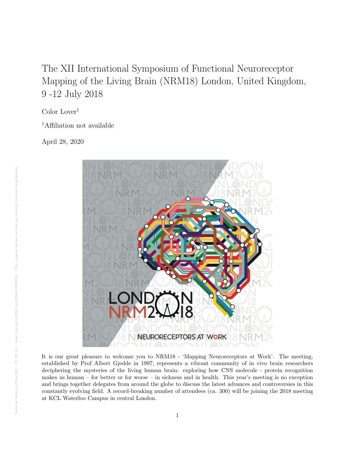## The XII International Symposium of Functional Neuroreceptor Mapping of the Living Brain (NRM18) London, United Kingdom, 9 -12 July 2018

Color Lover<sup>1</sup>

<sup>1</sup>Affiliation not available

April 28, 2020



It is our great pleasure to welcome you to NRM18 - 'Mapping Neuroreceptors at Work'. The meeting, established by Prof Albert Gjedde in 1997, represents a vibrant community of in vivo brain researchers deciphering the mysteries of the living human brain: exploring how CNS molecule - protein recognition makes us human – for better or for worse – in sickness and in health. This year's meeting is no exception and brings together delegates from around the globe to discuss the latest advances and controversies in this constantly evolving field. A record-breaking number of attendees (ca. 300) will be joining the 2018 meeting at KCL Waterloo Campus in central London.